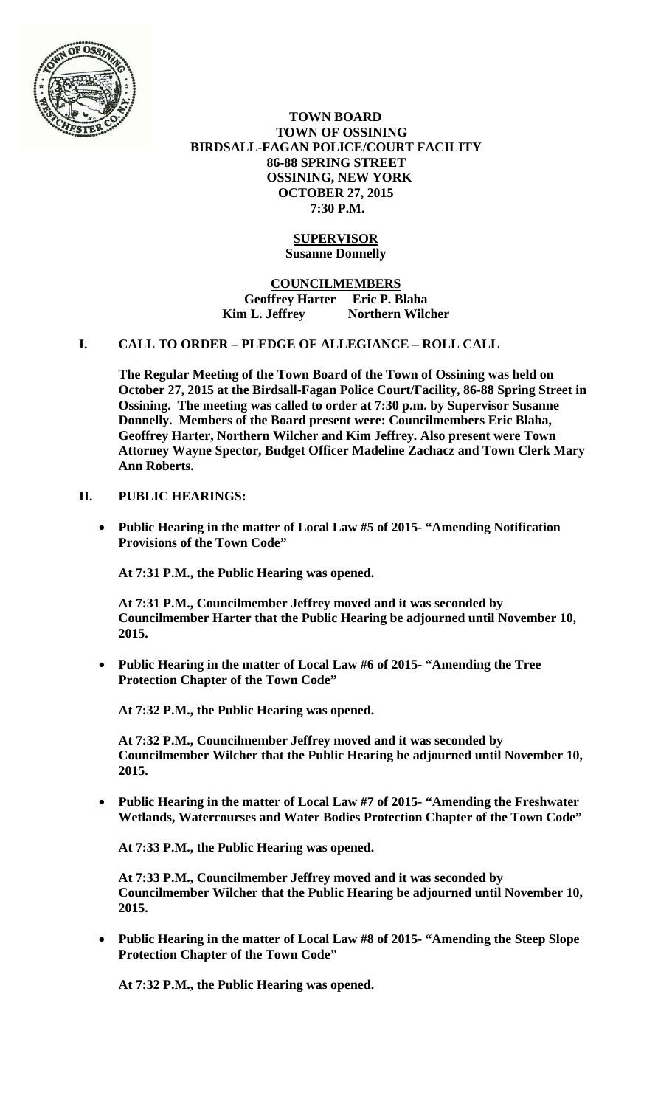

 **TOWN BOARD TOWN OF OSSINING BIRDSALL-FAGAN POLICE/COURT FACILITY 86-88 SPRING STREET OSSINING, NEW YORK OCTOBER 27, 2015 7:30 P.M.** 

### **SUPERVISOR Susanne Donnelly**

**COUNCILMEMBERS Geoffrey Harter Eric P. Blaha**  Kim L. Jeffrey **Northern Wilcher** 

#### **I. CALL TO ORDER – PLEDGE OF ALLEGIANCE – ROLL CALL**

**The Regular Meeting of the Town Board of the Town of Ossining was held on October 27, 2015 at the Birdsall-Fagan Police Court/Facility, 86-88 Spring Street in Ossining. The meeting was called to order at 7:30 p.m. by Supervisor Susanne Donnelly. Members of the Board present were: Councilmembers Eric Blaha, Geoffrey Harter, Northern Wilcher and Kim Jeffrey. Also present were Town Attorney Wayne Spector, Budget Officer Madeline Zachacz and Town Clerk Mary Ann Roberts.** 

### **II. PUBLIC HEARINGS:**

 **Public Hearing in the matter of Local Law #5 of 2015- "Amending Notification Provisions of the Town Code"** 

**At 7:31 P.M., the Public Hearing was opened.** 

**At 7:31 P.M., Councilmember Jeffrey moved and it was seconded by Councilmember Harter that the Public Hearing be adjourned until November 10, 2015.**

 **Public Hearing in the matter of Local Law #6 of 2015- "Amending the Tree Protection Chapter of the Town Code"** 

**At 7:32 P.M., the Public Hearing was opened.** 

**At 7:32 P.M., Councilmember Jeffrey moved and it was seconded by Councilmember Wilcher that the Public Hearing be adjourned until November 10, 2015.**

 **Public Hearing in the matter of Local Law #7 of 2015- "Amending the Freshwater Wetlands, Watercourses and Water Bodies Protection Chapter of the Town Code"** 

**At 7:33 P.M., the Public Hearing was opened.** 

**At 7:33 P.M., Councilmember Jeffrey moved and it was seconded by Councilmember Wilcher that the Public Hearing be adjourned until November 10, 2015.**

 **Public Hearing in the matter of Local Law #8 of 2015- "Amending the Steep Slope Protection Chapter of the Town Code"** 

**At 7:32 P.M., the Public Hearing was opened.**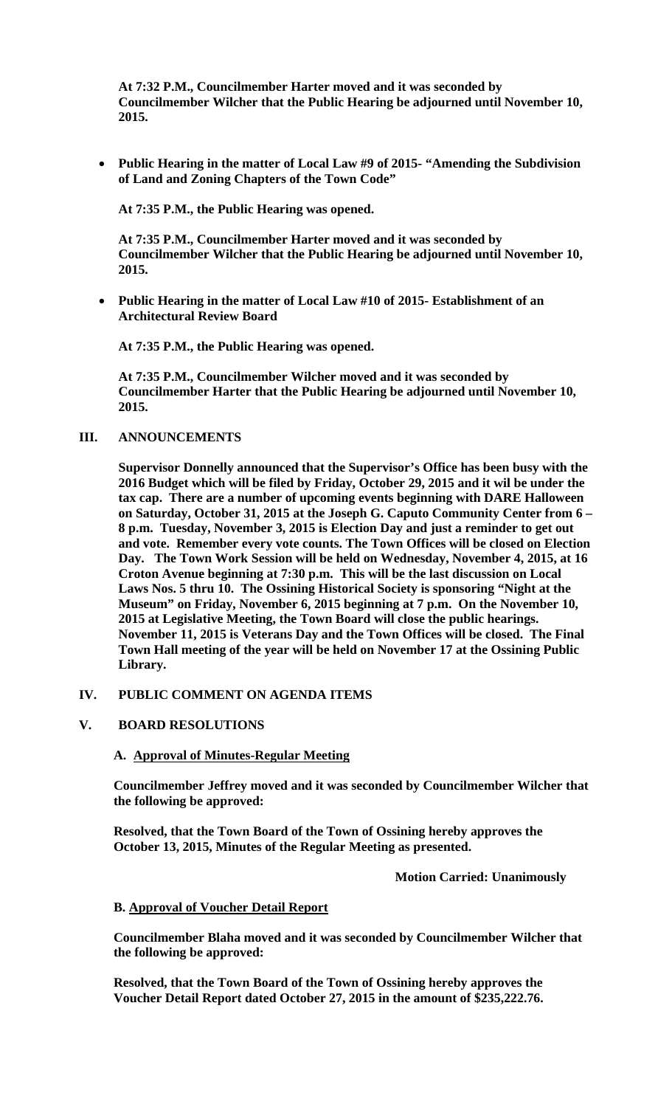**At 7:32 P.M., Councilmember Harter moved and it was seconded by Councilmember Wilcher that the Public Hearing be adjourned until November 10, 2015.**

 **Public Hearing in the matter of Local Law #9 of 2015- "Amending the Subdivision of Land and Zoning Chapters of the Town Code"**

**At 7:35 P.M., the Public Hearing was opened.** 

**At 7:35 P.M., Councilmember Harter moved and it was seconded by Councilmember Wilcher that the Public Hearing be adjourned until November 10, 2015.**

 **Public Hearing in the matter of Local Law #10 of 2015- Establishment of an Architectural Review Board** 

**At 7:35 P.M., the Public Hearing was opened.** 

**At 7:35 P.M., Councilmember Wilcher moved and it was seconded by Councilmember Harter that the Public Hearing be adjourned until November 10, 2015.**

#### **III. ANNOUNCEMENTS**

**Supervisor Donnelly announced that the Supervisor's Office has been busy with the 2016 Budget which will be filed by Friday, October 29, 2015 and it wil be under the tax cap. There are a number of upcoming events beginning with DARE Halloween on Saturday, October 31, 2015 at the Joseph G. Caputo Community Center from 6 – 8 p.m. Tuesday, November 3, 2015 is Election Day and just a reminder to get out and vote. Remember every vote counts. The Town Offices will be closed on Election Day. The Town Work Session will be held on Wednesday, November 4, 2015, at 16 Croton Avenue beginning at 7:30 p.m. This will be the last discussion on Local Laws Nos. 5 thru 10. The Ossining Historical Society is sponsoring "Night at the Museum" on Friday, November 6, 2015 beginning at 7 p.m. On the November 10, 2015 at Legislative Meeting, the Town Board will close the public hearings. November 11, 2015 is Veterans Day and the Town Offices will be closed. The Final Town Hall meeting of the year will be held on November 17 at the Ossining Public Library.** 

#### **IV. PUBLIC COMMENT ON AGENDA ITEMS**

#### **V. BOARD RESOLUTIONS**

#### **A. Approval of Minutes-Regular Meeting**

**Councilmember Jeffrey moved and it was seconded by Councilmember Wilcher that the following be approved:** 

**Resolved, that the Town Board of the Town of Ossining hereby approves the October 13, 2015, Minutes of the Regular Meeting as presented.** 

 **Motion Carried: Unanimously** 

#### **B. Approval of Voucher Detail Report**

**Councilmember Blaha moved and it was seconded by Councilmember Wilcher that the following be approved:** 

**Resolved, that the Town Board of the Town of Ossining hereby approves the Voucher Detail Report dated October 27, 2015 in the amount of \$235,222.76.**